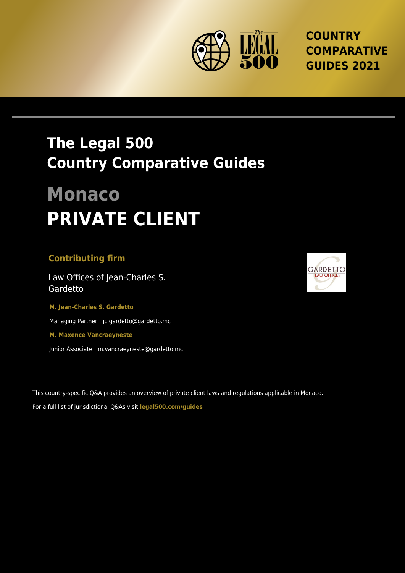

**COUNTRY COMPARATIVE GUIDES 2021**

## **The Legal 500 Country Comparative Guides**

# **Monaco PRIVATE CLIENT**

#### **Contributing firm**

Law Offices of Jean-Charles S. Gardetto

**M. Jean-Charles S. Gardetto** Managing Partner **|** jc.gardetto@gardetto.mc **M. Maxence Vancraeyneste**

Junior Associate **|** m.vancraeyneste@gardetto.mc

This country-specific Q&A provides an overview of private client laws and regulations applicable in Monaco. For a full list of jurisdictional Q&As visit **legal500.com/guides**

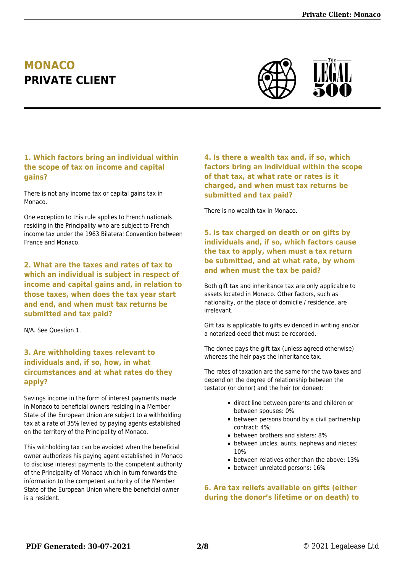### **MONACO PRIVATE CLIENT**



#### **1. Which factors bring an individual within the scope of tax on income and capital gains?**

There is not any income tax or capital gains tax in Monaco.

One exception to this rule applies to French nationals residing in the Principality who are subject to French income tax under the 1963 Bilateral Convention between France and Monaco.

**2. What are the taxes and rates of tax to which an individual is subject in respect of income and capital gains and, in relation to those taxes, when does the tax year start and end, and when must tax returns be submitted and tax paid?**

N/A. See Question 1.

#### **3. Are withholding taxes relevant to individuals and, if so, how, in what circumstances and at what rates do they apply?**

Savings income in the form of interest payments made in Monaco to beneficial owners residing in a Member State of the European Union are subject to a withholding tax at a rate of 35% levied by paying agents established on the territory of the Principality of Monaco.

This withholding tax can be avoided when the beneficial owner authorizes his paying agent established in Monaco to disclose interest payments to the competent authority of the Principality of Monaco which in turn forwards the information to the competent authority of the Member State of the European Union where the beneficial owner is a resident.

**4. Is there a wealth tax and, if so, which factors bring an individual within the scope of that tax, at what rate or rates is it charged, and when must tax returns be submitted and tax paid?**

There is no wealth tax in Monaco.

**5. Is tax charged on death or on gifts by individuals and, if so, which factors cause the tax to apply, when must a tax return be submitted, and at what rate, by whom and when must the tax be paid?**

Both gift tax and inheritance tax are only applicable to assets located in Monaco. Other factors, such as nationality, or the place of domicile / residence, are irrelevant.

Gift tax is applicable to gifts evidenced in writing and/or a notarized deed that must be recorded.

The donee pays the gift tax (unless agreed otherwise) whereas the heir pays the inheritance tax.

The rates of taxation are the same for the two taxes and depend on the degree of relationship between the testator (or donor) and the heir (or donee):

- direct line between parents and children or between spouses: 0%
- between persons bound by a civil partnership contract: 4%;
- between brothers and sisters: 8%
- between uncles, aunts, nephews and nieces: 10%
- between relatives other than the above: 13%
- between unrelated persons: 16%

**6. Are tax reliefs available on gifts (either during the donor's lifetime or on death) to**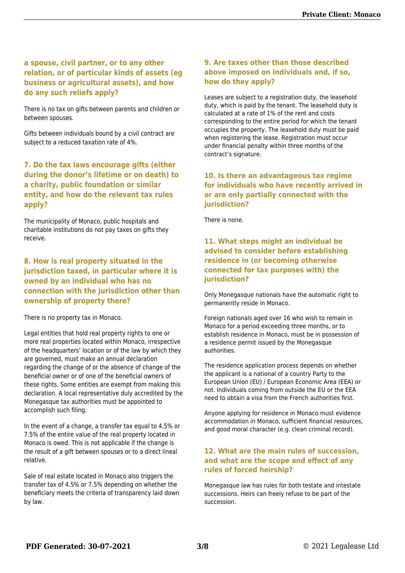#### **a spouse, civil partner, or to any other relation, or of particular kinds of assets (eg business or agricultural assets), and how do any such reliefs apply?**

There is no tax on gifts between parents and children or between spouses.

Gifts between individuals bound by a civil contract are subject to a reduced taxation rate of 4%.

#### **7. Do the tax laws encourage gifts (either during the donor's lifetime or on death) to a charity, public foundation or similar entity, and how do the relevant tax rules apply?**

The municipality of Monaco, public hospitals and charitable institutions do not pay taxes on gifts they receive.

#### **8. How is real property situated in the jurisdiction taxed, in particular where it is owned by an individual who has no connection with the jurisdiction other than ownership of property there?**

There is no property tax in Monaco.

Legal entities that hold real property rights to one or more real properties located within Monaco, irrespective of the headquarters' location or of the law by which they are governed, must make an annual declaration regarding the change of or the absence of change of the beneficial owner or of one of the beneficial owners of these rights. Some entities are exempt from making this declaration. A local representative duly accredited by the Monegasque tax authorities must be appointed to accomplish such filing.

In the event of a change, a transfer tax equal to 4.5% or 7.5% of the entire value of the real property located in Monaco is owed. This is not applicable if the change is the result of a gift between spouses or to a direct lineal relative.

Sale of real estate located in Monaco also triggers the transfer tax of 4.5% or 7.5% depending on whether the beneficiary meets the criteria of transparency laid down by law.

#### **9. Are taxes other than those described above imposed on individuals and, if so, how do they apply?**

Leases are subject to a registration duty, the leasehold duty, which is paid by the tenant. The leasehold duty is calculated at a rate of 1% of the rent and costs corresponding to the entire period for which the tenant occupies the property. The leasehold duty must be paid when registering the lease. Registration must occur under financial penalty within three months of the contract's signature.

#### **10. Is there an advantageous tax regime for individuals who have recently arrived in or are only partially connected with the jurisdiction?**

There is none.

#### **11. What steps might an individual be advised to consider before establishing residence in (or becoming otherwise connected for tax purposes with) the jurisdiction?**

Only Monegasque nationals have the automatic right to permanently reside in Monaco.

Foreign nationals aged over 16 who wish to remain in Monaco for a period exceeding three months, or to establish residence in Monaco, must be in possession of a residence permit issued by the Monegasque authorities.

The residence application process depends on whether the applicant is a national of a country Party to the European Union (EU) / European Economic Area (EEA) or not. Individuals coming from outside the EU or the EEA need to obtain a visa from the French authorities first.

Anyone applying for residence in Monaco must evidence accommodation in Monaco, sufficient financial resources, and good moral character (e.g. clean criminal record).

#### **12. What are the main rules of succession, and what are the scope and effect of any rules of forced heirship?**

Monegasque law has rules for both testate and intestate successions. Heirs can freely refuse to be part of the succession.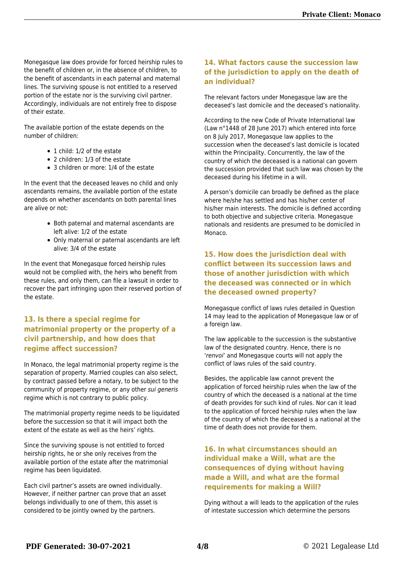Monegasque law does provide for forced heirship rules to the benefit of children or, in the absence of children, to the benefit of ascendants in each paternal and maternal lines. The surviving spouse is not entitled to a reserved portion of the estate nor is the surviving civil partner. Accordingly, individuals are not entirely free to dispose of their estate.

The available portion of the estate depends on the number of children:

- 1 child: 1/2 of the estate
- 2 children: 1/3 of the estate
- 3 children or more: 1/4 of the estate

In the event that the deceased leaves no child and only ascendants remains, the available portion of the estate depends on whether ascendants on both parental lines are alive or not:

- Both paternal and maternal ascendants are left alive: 1/2 of the estate
- Only maternal or paternal ascendants are left alive: 3/4 of the estate

In the event that Monegasque forced heirship rules would not be complied with, the heirs who benefit from these rules, and only them, can file a lawsuit in order to recover the part infringing upon their reserved portion of the estate.

#### **13. Is there a special regime for matrimonial property or the property of a civil partnership, and how does that regime affect succession?**

In Monaco, the legal matrimonial property regime is the separation of property. Married couples can also select, by contract passed before a notary, to be subject to the community of property regime, or any other sui generis regime which is not contrary to public policy.

The matrimonial property regime needs to be liquidated before the succession so that it will impact both the extent of the estate as well as the heirs' rights.

Since the surviving spouse is not entitled to forced heirship rights, he or she only receives from the available portion of the estate after the matrimonial regime has been liquidated.

Each civil partner's assets are owned individually. However, if neither partner can prove that an asset belongs individually to one of them, this asset is considered to be jointly owned by the partners.

#### **14. What factors cause the succession law of the jurisdiction to apply on the death of an individual?**

The relevant factors under Monegasque law are the deceased's last domicile and the deceased's nationality.

According to the new Code of Private International law (Law n°1448 of 28 June 2017) which entered into force on 8 July 2017, Monegasque law applies to the succession when the deceased's last domicile is located within the Principality. Concurrently, the law of the country of which the deceased is a national can govern the succession provided that such law was chosen by the deceased during his lifetime in a will.

A person's domicile can broadly be defined as the place where he/she has settled and has his/her center of his/her main interests. The domicile is defined according to both objective and subjective criteria. Monegasque nationals and residents are presumed to be domiciled in Monaco.

#### **15. How does the jurisdiction deal with conflict between its succession laws and those of another jurisdiction with which the deceased was connected or in which the deceased owned property?**

Monegasque conflict of laws rules detailed in Question 14 may lead to the application of Monegasque law or of a foreign law.

The law applicable to the succession is the substantive law of the designated country. Hence, there is no 'renvoi' and Monegasque courts will not apply the conflict of laws rules of the said country.

Besides, the applicable law cannot prevent the application of forced heirship rules when the law of the country of which the deceased is a national at the time of death provides for such kind of rules. Nor can it lead to the application of forced heirship rules when the law of the country of which the deceased is a national at the time of death does not provide for them.

#### **16. In what circumstances should an individual make a Will, what are the consequences of dying without having made a Will, and what are the formal requirements for making a Will?**

Dying without a will leads to the application of the rules of intestate succession which determine the persons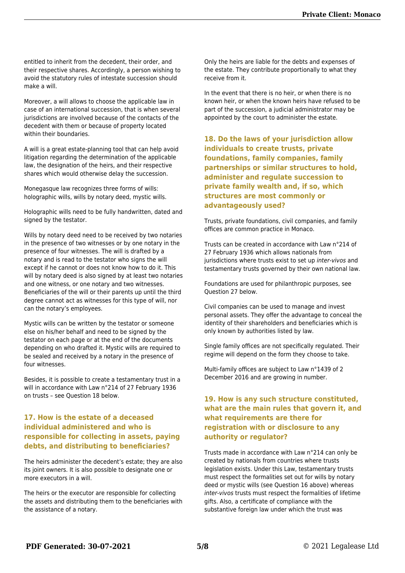entitled to inherit from the decedent, their order, and their respective shares. Accordingly, a person wishing to avoid the statutory rules of intestate succession should make a will.

Moreover, a will allows to choose the applicable law in case of an international succession, that is when several jurisdictions are involved because of the contacts of the decedent with them or because of property located within their boundaries.

A will is a great estate-planning tool that can help avoid litigation regarding the determination of the applicable law, the designation of the heirs, and their respective shares which would otherwise delay the succession.

Monegasque law recognizes three forms of wills: holographic wills, wills by notary deed, mystic wills.

Holographic wills need to be fully handwritten, dated and signed by the testator.

Wills by notary deed need to be received by two notaries in the presence of two witnesses or by one notary in the presence of four witnesses. The will is drafted by a notary and is read to the testator who signs the will except if he cannot or does not know how to do it. This will by notary deed is also signed by at least two notaries and one witness, or one notary and two witnesses. Beneficiaries of the will or their parents up until the third degree cannot act as witnesses for this type of will, nor can the notary's employees.

Mystic wills can be written by the testator or someone else on his/her behalf and need to be signed by the testator on each page or at the end of the documents depending on who drafted it. Mystic wills are required to be sealed and received by a notary in the presence of four witnesses.

Besides, it is possible to create a testamentary trust in a will in accordance with Law n°214 of 27 February 1936 on trusts – see Question 18 below.

#### **17. How is the estate of a deceased individual administered and who is responsible for collecting in assets, paying debts, and distributing to beneficiaries?**

The heirs administer the decedent's estate; they are also its joint owners. It is also possible to designate one or more executors in a will.

The heirs or the executor are responsible for collecting the assets and distributing them to the beneficiaries with the assistance of a notary.

Only the heirs are liable for the debts and expenses of the estate. They contribute proportionally to what they receive from it.

In the event that there is no heir, or when there is no known heir, or when the known heirs have refused to be part of the succession, a judicial administrator may be appointed by the court to administer the estate.

**18. Do the laws of your jurisdiction allow individuals to create trusts, private foundations, family companies, family partnerships or similar structures to hold, administer and regulate succession to private family wealth and, if so, which structures are most commonly or advantageously used?**

Trusts, private foundations, civil companies, and family offices are common practice in Monaco.

Trusts can be created in accordance with Law n°214 of 27 February 1936 which allows nationals from jurisdictions where trusts exist to set up inter-vivos and testamentary trusts governed by their own national law.

Foundations are used for philanthropic purposes, see Question 27 below.

Civil companies can be used to manage and invest personal assets. They offer the advantage to conceal the identity of their shareholders and beneficiaries which is only known by authorities listed by law.

Single family offices are not specifically regulated. Their regime will depend on the form they choose to take.

Multi-family offices are subject to Law n°1439 of 2 December 2016 and are growing in number.

#### **19. How is any such structure constituted, what are the main rules that govern it, and what requirements are there for registration with or disclosure to any authority or regulator?**

Trusts made in accordance with Law n°214 can only be created by nationals from countries where trusts legislation exists. Under this Law, testamentary trusts must respect the formalities set out for wills by notary deed or mystic wills (see Question 16 above) whereas inter-vivos trusts must respect the formalities of lifetime gifts. Also, a certificate of compliance with the substantive foreign law under which the trust was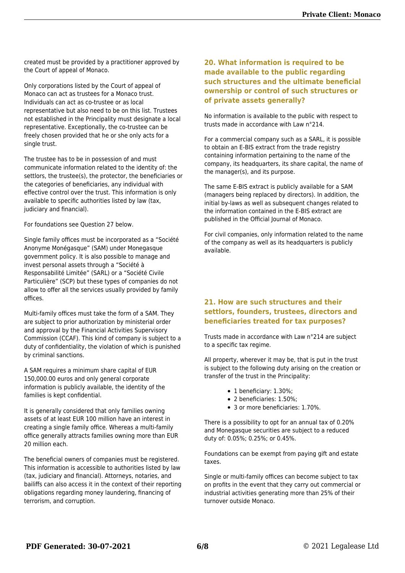created must be provided by a practitioner approved by the Court of appeal of Monaco.

Only corporations listed by the Court of appeal of Monaco can act as trustees for a Monaco trust. Individuals can act as co-trustee or as local representative but also need to be on this list. Trustees not established in the Principality must designate a local representative. Exceptionally, the co-trustee can be freely chosen provided that he or she only acts for a single trust.

The trustee has to be in possession of and must communicate information related to the identity of: the settlors, the trustee(s), the protector, the beneficiaries or the categories of beneficiaries, any individual with effective control over the trust. This information is only available to specific authorities listed by law (tax, judiciary and financial).

For foundations see Question 27 below.

Single family offices must be incorporated as a "Société Anonyme Monégasque" (SAM) under Monegasque government policy. It is also possible to manage and invest personal assets through a "Société à Responsabilité Limitée" (SARL) or a "Société Civile Particulière" (SCP) but these types of companies do not allow to offer all the services usually provided by family offices.

Multi-family offices must take the form of a SAM. They are subject to prior authorization by ministerial order and approval by the Financial Activities Supervisory Commission (CCAF). This kind of company is subject to a duty of confidentiality, the violation of which is punished by criminal sanctions.

A SAM requires a minimum share capital of EUR 150,000.00 euros and only general corporate information is publicly available, the identity of the families is kept confidential.

It is generally considered that only families owning assets of at least EUR 100 million have an interest in creating a single family office. Whereas a multi-family office generally attracts families owning more than EUR 20 million each.

The beneficial owners of companies must be registered. This information is accessible to authorities listed by law (tax, judiciary and financial). Attorneys, notaries, and bailiffs can also access it in the context of their reporting obligations regarding money laundering, financing of terrorism, and corruption.

#### **20. What information is required to be made available to the public regarding such structures and the ultimate beneficial ownership or control of such structures or of private assets generally?**

No information is available to the public with respect to trusts made in accordance with Law n°214.

For a commercial company such as a SARL, it is possible to obtain an E-BIS extract from the trade registry containing information pertaining to the name of the company, its headquarters, its share capital, the name of the manager(s), and its purpose.

The same E-BIS extract is publicly available for a SAM (managers being replaced by directors). In addition, the initial by-laws as well as subsequent changes related to the information contained in the E-BIS extract are published in the Official Journal of Monaco.

For civil companies, only information related to the name of the company as well as its headquarters is publicly available.

#### **21. How are such structures and their settlors, founders, trustees, directors and beneficiaries treated for tax purposes?**

Trusts made in accordance with Law n°214 are subject to a specific tax regime.

All property, wherever it may be, that is put in the trust is subject to the following duty arising on the creation or transfer of the trust in the Principality:

- 1 beneficiary: 1.30%;
- 2 beneficiaries: 1.50%;
- 3 or more beneficiaries: 1.70%.

There is a possibility to opt for an annual tax of 0.20% and Monegasque securities are subject to a reduced duty of: 0.05%; 0.25%; or 0.45%.

Foundations can be exempt from paying gift and estate taxes.

Single or multi-family offices can become subject to tax on profits in the event that they carry out commercial or industrial activities generating more than 25% of their turnover outside Monaco.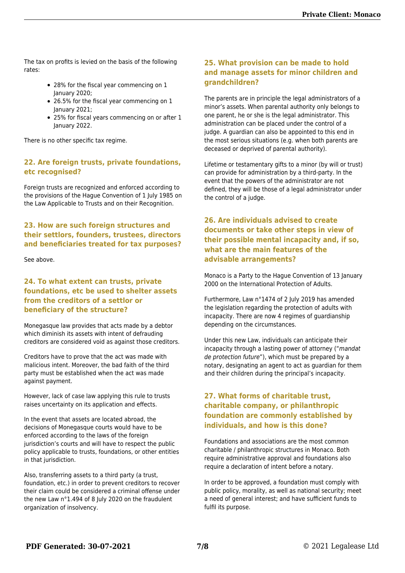The tax on profits is levied on the basis of the following rates:

- 28% for the fiscal year commencing on 1 January 2020;
- 26.5% for the fiscal year commencing on 1 January 2021;
- 25% for fiscal years commencing on or after 1 January 2022.

There is no other specific tax regime.

#### **22. Are foreign trusts, private foundations, etc recognised?**

Foreign trusts are recognized and enforced according to the provisions of the Hague Convention of 1 July 1985 on the Law Applicable to Trusts and on their Recognition.

#### **23. How are such foreign structures and their settlors, founders, trustees, directors and beneficiaries treated for tax purposes?**

See above.

#### **24. To what extent can trusts, private foundations, etc be used to shelter assets from the creditors of a settlor or beneficiary of the structure?**

Monegasque law provides that acts made by a debtor which diminish its assets with intent of defrauding creditors are considered void as against those creditors.

Creditors have to prove that the act was made with malicious intent. Moreover, the bad faith of the third party must be established when the act was made against payment.

However, lack of case law applying this rule to trusts raises uncertainty on its application and effects.

In the event that assets are located abroad, the decisions of Monegasque courts would have to be enforced according to the laws of the foreign jurisdiction's courts and will have to respect the public policy applicable to trusts, foundations, or other entities in that jurisdiction.

Also, transferring assets to a third party (a trust, foundation, etc.) in order to prevent creditors to recover their claim could be considered a criminal offense under the new Law n°1.494 of 8 July 2020 on the fraudulent organization of insolvency.

#### **25. What provision can be made to hold and manage assets for minor children and grandchildren?**

The parents are in principle the legal administrators of a minor's assets. When parental authority only belongs to one parent, he or she is the legal administrator. This administration can be placed under the control of a judge. A guardian can also be appointed to this end in the most serious situations (e.g. when both parents are deceased or deprived of parental authority).

Lifetime or testamentary gifts to a minor (by will or trust) can provide for administration by a third-party. In the event that the powers of the administrator are not defined, they will be those of a legal administrator under the control of a judge.

#### **26. Are individuals advised to create documents or take other steps in view of their possible mental incapacity and, if so, what are the main features of the advisable arrangements?**

Monaco is a Party to the Hague Convention of 13 January 2000 on the International Protection of Adults.

Furthermore, Law n°1474 of 2 July 2019 has amended the legislation regarding the protection of adults with incapacity. There are now 4 regimes of guardianship depending on the circumstances.

Under this new Law, individuals can anticipate their incapacity through a lasting power of attorney ("mandat de protection future"), which must be prepared by a notary, designating an agent to act as guardian for them and their children during the principal's incapacity.

#### **27. What forms of charitable trust, charitable company, or philanthropic foundation are commonly established by individuals, and how is this done?**

Foundations and associations are the most common charitable / philanthropic structures in Monaco. Both require administrative approval and foundations also require a declaration of intent before a notary.

In order to be approved, a foundation must comply with public policy, morality, as well as national security; meet a need of general interest; and have sufficient funds to fulfil its purpose.